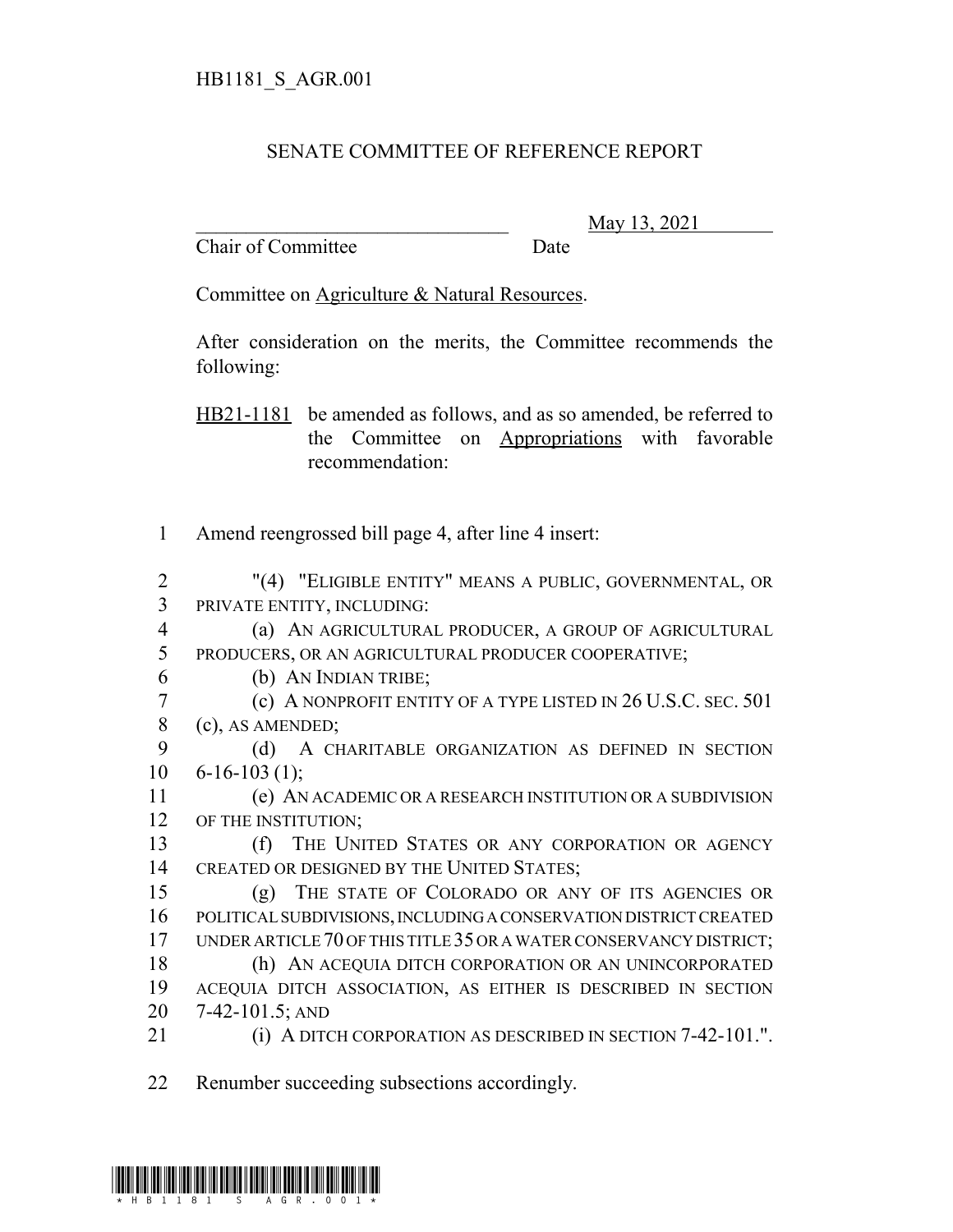## SENATE COMMITTEE OF REFERENCE REPORT

Chair of Committee Date

\_\_\_\_\_\_\_\_\_\_\_\_\_\_\_\_\_\_\_\_\_\_\_\_\_\_\_\_\_\_\_ May 13, 2021

Committee on Agriculture & Natural Resources.

After consideration on the merits, the Committee recommends the following:

HB21-1181 be amended as follows, and as so amended, be referred to the Committee on Appropriations with favorable recommendation:

1 Amend reengrossed bill page 4, after line 4 insert:

2 "(4) "ELIGIBLE ENTITY" MEANS A PUBLIC, GOVERNMENTAL, OR 3 PRIVATE ENTITY, INCLUDING:

- 4 (a) AN AGRICULTURAL PRODUCER, A GROUP OF AGRICULTURAL 5 PRODUCERS, OR AN AGRICULTURAL PRODUCER COOPERATIVE;
- 6 (b) AN INDIAN TRIBE;

7 (c) A NONPROFIT ENTITY OF A TYPE LISTED IN 26 U.S.C. SEC. 501 8 (c), AS AMENDED; 9 (d) A CHARITABLE ORGANIZATION AS DEFINED IN SECTION

 $10 \quad 6 - 16 - 103 \tag{1}$ :

11 (e) AN ACADEMIC OR A RESEARCH INSTITUTION OR A SUBDIVISION 12 OF THE INSTITUTION;

13 (f) THE UNITED STATES OR ANY CORPORATION OR AGENCY 14 CREATED OR DESIGNED BY THE UNITED STATES:

 (g) THE STATE OF COLORADO OR ANY OF ITS AGENCIES OR POLITICAL SUBDIVISIONS, INCLUDING A CONSERVATION DISTRICT CREATED UNDER ARTICLE 70 OF THIS TITLE 35 OR A WATER CONSERVANCY DISTRICT; (h) AN ACEQUIA DITCH CORPORATION OR AN UNINCORPORATED ACEQUIA DITCH ASSOCIATION, AS EITHER IS DESCRIBED IN SECTION

- 20 7-42-101.5; AND
- 21 **(i) A DITCH CORPORATION AS DESCRIBED IN SECTION 7-42-101.".**

22 Renumber succeeding subsections accordingly.